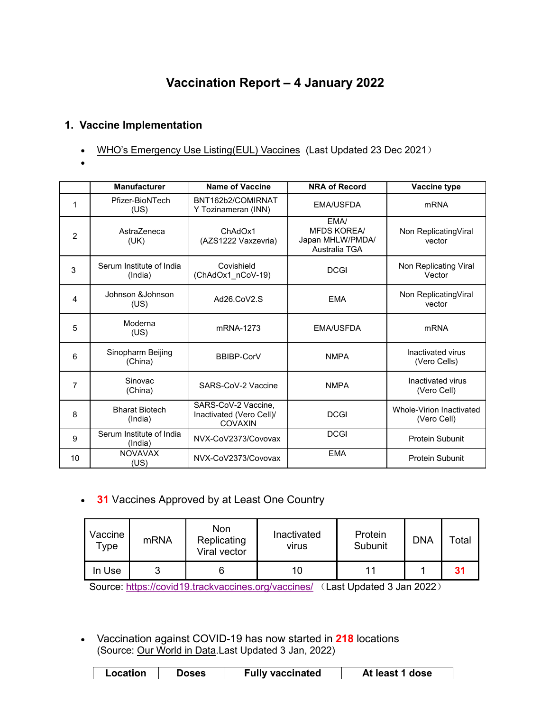# **Vaccination Report – 4 January 2022**

# **1. Vaccine Implementation**

- WHO's Emergency Use [Listing\(EUL\)](https://extranet.who.int/pqweb/sites/default/files/documents/Status_COVID_VAX_23Dec2021.pdf) Vaccines (Last Updated 23 Dec 2021)
- $\bullet$  and  $\bullet$  and  $\bullet$  and  $\bullet$

|                | <b>Manufacturer</b>                 | <b>Name of Vaccine</b>                                            | <b>NRA of Record</b>                                            | Vaccine type                            |
|----------------|-------------------------------------|-------------------------------------------------------------------|-----------------------------------------------------------------|-----------------------------------------|
|                | Pfizer-BioNTech<br>(US)             | BNT162b2/COMIRNAT<br>Y Tozinameran (INN)                          | <b>EMA/USFDA</b>                                                | <b>mRNA</b>                             |
| $\overline{2}$ | AstraZeneca<br>(UK)                 | ChAdOx1<br>(AZS1222 Vaxzevria)                                    | EMA/<br><b>MFDS KOREA/</b><br>Japan MHLW/PMDA/<br>Australia TGA | Non ReplicatingViral<br>vector          |
| 3              | Serum Institute of India<br>(India) | Covishield<br>(ChAdOx1_nCoV-19)                                   | <b>DCGI</b>                                                     | Non Replicating Viral<br>Vector         |
| 4              | Johnson & Johnson<br>(US)           | Ad26.CoV2.S                                                       | <b>EMA</b>                                                      | Non ReplicatingViral<br>vector          |
| 5              | Moderna<br>(US)                     | mRNA-1273                                                         | <b>EMA/USFDA</b>                                                | mRNA                                    |
| 6              | Sinopharm Beijing<br>(China)        | <b>BBIBP-CorV</b>                                                 | <b>NMPA</b>                                                     | Inactivated virus<br>(Vero Cells)       |
| 7              | Sinovac<br>(China)                  | SARS-CoV-2 Vaccine                                                | <b>NMPA</b>                                                     | Inactivated virus<br>(Vero Cell)        |
| 8              | <b>Bharat Biotech</b><br>(India)    | SARS-CoV-2 Vaccine,<br>Inactivated (Vero Cell)/<br><b>COVAXIN</b> | <b>DCGI</b>                                                     | Whole-Virion Inactivated<br>(Vero Cell) |
| 9              | Serum Institute of India<br>(India) | NVX-CoV2373/Covovax                                               | <b>DCGI</b>                                                     | <b>Protein Subunit</b>                  |
| 10             | <b>NOVAVAX</b><br>(US)              | NVX-CoV2373/Covovax                                               | <b>EMA</b>                                                      | <b>Protein Subunit</b>                  |

**31** Vaccines Approved by at Least One Country

| Vaccine<br>туре | mRNA | Non<br>Replicating<br>Viral vector | Inactivated<br>virus | Protein<br>Subunit | <b>DNA</b> | Total |
|-----------------|------|------------------------------------|----------------------|--------------------|------------|-------|
| In Use          | ັ    |                                    | 10                   | 11                 |            | 31    |

Source: <https://covid19.trackvaccines.org/vaccines/> (Last Updated 3 Jan 2022)

 Vaccination against COVID-19 has now started in **218** locations (Source: Our [World](https://ourworldindata.org/covid-vaccinations) in Data.Last Updated 3 Jan, 2022)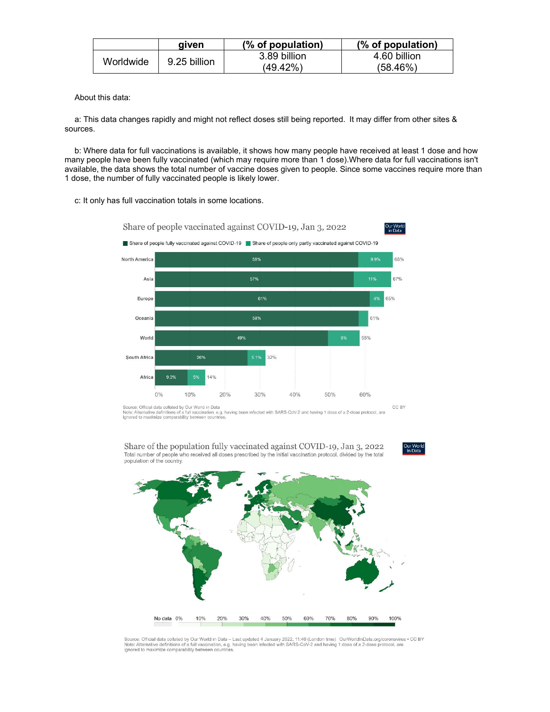|           | aiven        | (% of population) | (% of population) |
|-----------|--------------|-------------------|-------------------|
| Worldwide | 9.25 billion | 3.89 billion      | 4.60 billion      |
|           |              | (49.42%)          | (58.46%)          |

About this data:

a: This data changes rapidly and might not reflect doses still being reported. It may differ from other sites & sources.

b: Where data for full vaccinations is available, it shows how many people have received at least 1 dose and how many people have been fully vaccinated (which may require more than 1 dose).Where data for full vaccinations isn't available, the data shows the total number of vaccine doses given to people. Since some vaccines require more than 1 dose, the number of fully vaccinated people is likely lower.

c: It only has full vaccination totals in some locations.



Source: Official data collated by Our World in Data<br>Note: Alternative definitions of a full vaccination, e.g. having been infected with SARS-CoV-2 and having 1 dose of a 2-dose protocol, are<br>Ignored to maximize comparabili

Share of the population fully vaccinated against COVID-19, Jan 3, 2022 Total number of people who received all doses prescribed by the initial vaccination protocol, divided by the total population of the country.





Source: Official data collated by Our World in Data – Last updated 4 January 2022, 11:40 (London time) OurWorldInData.org/coronavirus • CC BY<br>Note: Alternative definitions of a full vaccination, e.g. having been infected w ignored to maximize comparability between countries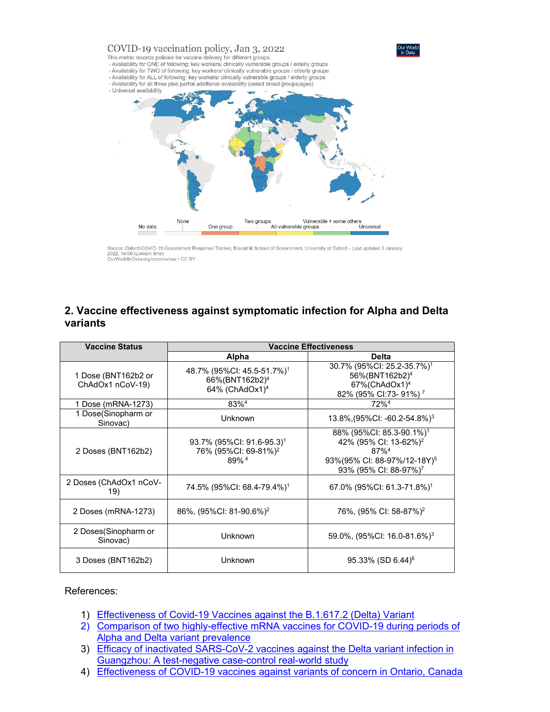

Source: Oxford COVID-19 Government Response Tracker, Blavatnik School of Government, University of Oxford - Last updated 3 January 2022, 14:50 (London time)<br>OurWorldInData.org/coronavirus • CC BY

### **2. Vaccine effectiveness against symptomatic infection for Alpha and Delta variants**

| <b>Vaccine Status</b>                   | <b>Vaccine Effectiveness</b>                                                                       |                                                                                                                                                                                  |  |  |
|-----------------------------------------|----------------------------------------------------------------------------------------------------|----------------------------------------------------------------------------------------------------------------------------------------------------------------------------------|--|--|
|                                         | Alpha                                                                                              | <b>Delta</b>                                                                                                                                                                     |  |  |
| 1 Dose (BNT162b2 or<br>ChAdOx1 nCoV-19) | 48.7% (95%CI: 45.5-51.7%) <sup>1</sup><br>66%(BNT162b2) <sup>4</sup><br>64% (ChAdOx1) <sup>4</sup> | 30.7% (95%CI: 25.2-35.7%) <sup>1</sup><br>56%(BNT162b2) <sup>4</sup><br>67%(ChAdOx1) <sup>4</sup><br>82% (95% CI:73- 91%) <sup>7</sup>                                           |  |  |
| 1 Dose (mRNA-1273)                      | 83%4                                                                                               | 72% <sup>4</sup>                                                                                                                                                                 |  |  |
| 1 Dose(Sinopharm or<br>Sinovac)         | <b>Unknown</b>                                                                                     | 13.8%, $(95\%$ CI: -60.2-54.8%) <sup>3</sup>                                                                                                                                     |  |  |
| 2 Doses (BNT162b2)                      | 93.7% (95%CI: 91.6-95.3) <sup>1</sup><br>76% (95%CI: 69-81%) <sup>2</sup><br>89% <sup>4</sup>      | 88% (95%Cl: 85.3-90.1%) <sup>1</sup><br>42% (95% CI: 13-62%) <sup>2</sup><br>$87\%$ <sup>4</sup><br>93%(95% CI: 88-97%/12-18Y) <sup>5</sup><br>93% (95% CI: 88-97%) <sup>7</sup> |  |  |
| 2 Doses (ChAdOx1 nCoV-<br>19)           | 74.5% (95%CI: 68.4-79.4%) <sup>1</sup>                                                             | 67.0% (95%CI: 61.3-71.8%) <sup>1</sup>                                                                                                                                           |  |  |
| 2 Doses (mRNA-1273)                     | 86%, (95%CI: 81-90.6%) <sup>2</sup>                                                                | 76%, (95% CI: 58-87%) <sup>2</sup>                                                                                                                                               |  |  |
| 2 Doses (Sinopharm or<br>Sinovac)       | Unknown                                                                                            | 59.0%, $(95\%$ CI: 16.0-81.6%) <sup>3</sup>                                                                                                                                      |  |  |
| 3 Doses (BNT162b2)                      | <b>Unknown</b>                                                                                     | $95.33\%$ (SD 6.44) <sup>6</sup>                                                                                                                                                 |  |  |

#### References:

- 1) [Effectiveness](https://www.nejm.org/doi/pdf/10.1056/NEJMoa2108891?articleTools=true) of Covid-19 Vaccines against the B.1.617.2 (Delta) Variant
- 2) Comparison of two [highly-effective](https://www.medrxiv.org/content/10.1101/2021.08.06.21261707v1.full.pdf) mRNA vaccines for COVID-19 during periods of Alpha and Delta variant prevalence
- 3) Efficacy of inactivated [SARS-CoV-2](https://www.tandfonline.com/doi/full/10.1080/22221751.2021.1969291) vaccines against the Delta variant infection in Guangzhou: A test-negative case-control real-world study
- 4) [Effectiveness](https://www.medrxiv.org/content/10.1101/2021.06.28.21259420v2.full.pdf) of COVID-19 vaccines against variants of concern in Ontario, Canada